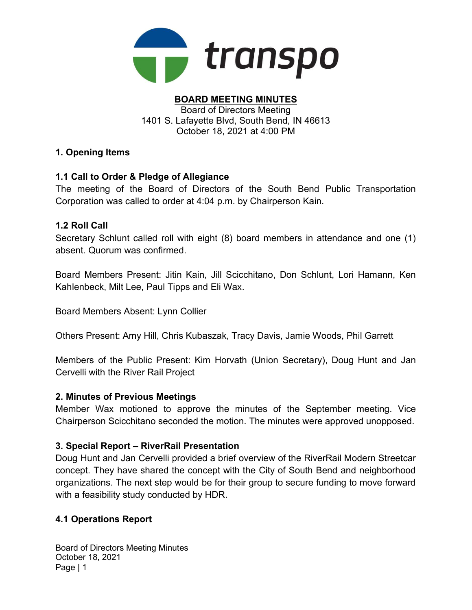

#### BOARD MEETING MINUTES Board of Directors Meeting 1401 S. Lafayette Blvd, South Bend, IN 46613 October 18, 2021 at 4:00 PM

# 1. Opening Items

# 1.1 Call to Order & Pledge of Allegiance

The meeting of the Board of Directors of the South Bend Public Transportation Corporation was called to order at 4:04 p.m. by Chairperson Kain.

### 1.2 Roll Call

Secretary Schlunt called roll with eight (8) board members in attendance and one (1) absent. Quorum was confirmed.

Board Members Present: Jitin Kain, Jill Scicchitano, Don Schlunt, Lori Hamann, Ken Kahlenbeck, Milt Lee, Paul Tipps and Eli Wax.

Board Members Absent: Lynn Collier

Others Present: Amy Hill, Chris Kubaszak, Tracy Davis, Jamie Woods, Phil Garrett

Members of the Public Present: Kim Horvath (Union Secretary), Doug Hunt and Jan Cervelli with the River Rail Project

### 2. Minutes of Previous Meetings

Member Wax motioned to approve the minutes of the September meeting. Vice Chairperson Scicchitano seconded the motion. The minutes were approved unopposed.

### 3. Special Report – RiverRail Presentation

Doug Hunt and Jan Cervelli provided a brief overview of the RiverRail Modern Streetcar concept. They have shared the concept with the City of South Bend and neighborhood organizations. The next step would be for their group to secure funding to move forward with a feasibility study conducted by HDR.

### 4.1 Operations Report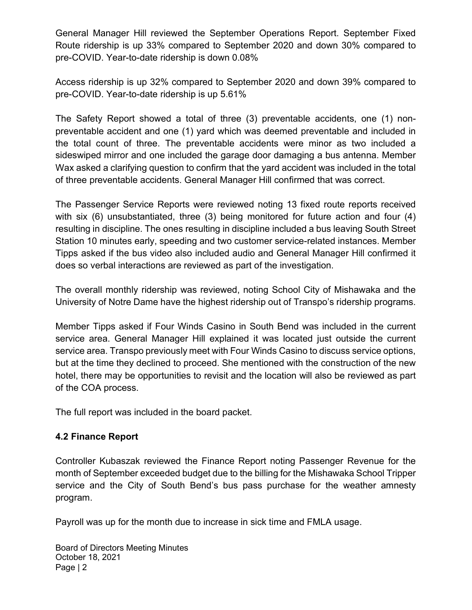General Manager Hill reviewed the September Operations Report. September Fixed Route ridership is up 33% compared to September 2020 and down 30% compared to pre-COVID. Year-to-date ridership is down 0.08%

Access ridership is up 32% compared to September 2020 and down 39% compared to pre-COVID. Year-to-date ridership is up 5.61%

The Safety Report showed a total of three (3) preventable accidents, one (1) nonpreventable accident and one (1) yard which was deemed preventable and included in the total count of three. The preventable accidents were minor as two included a sideswiped mirror and one included the garage door damaging a bus antenna. Member Wax asked a clarifying question to confirm that the yard accident was included in the total of three preventable accidents. General Manager Hill confirmed that was correct.

The Passenger Service Reports were reviewed noting 13 fixed route reports received with six (6) unsubstantiated, three (3) being monitored for future action and four (4) resulting in discipline. The ones resulting in discipline included a bus leaving South Street Station 10 minutes early, speeding and two customer service-related instances. Member Tipps asked if the bus video also included audio and General Manager Hill confirmed it does so verbal interactions are reviewed as part of the investigation.

The overall monthly ridership was reviewed, noting School City of Mishawaka and the University of Notre Dame have the highest ridership out of Transpo's ridership programs.

Member Tipps asked if Four Winds Casino in South Bend was included in the current service area. General Manager Hill explained it was located just outside the current service area. Transpo previously meet with Four Winds Casino to discuss service options, but at the time they declined to proceed. She mentioned with the construction of the new hotel, there may be opportunities to revisit and the location will also be reviewed as part of the COA process.

The full report was included in the board packet.

### 4.2 Finance Report

Controller Kubaszak reviewed the Finance Report noting Passenger Revenue for the month of September exceeded budget due to the billing for the Mishawaka School Tripper service and the City of South Bend's bus pass purchase for the weather amnesty program.

Payroll was up for the month due to increase in sick time and FMLA usage.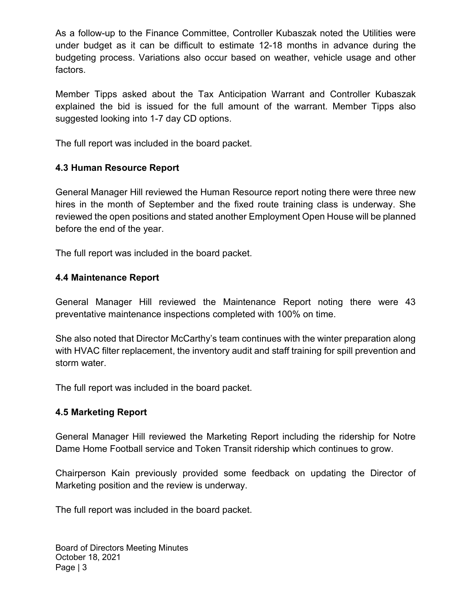As a follow-up to the Finance Committee, Controller Kubaszak noted the Utilities were under budget as it can be difficult to estimate 12-18 months in advance during the budgeting process. Variations also occur based on weather, vehicle usage and other factors.

Member Tipps asked about the Tax Anticipation Warrant and Controller Kubaszak explained the bid is issued for the full amount of the warrant. Member Tipps also suggested looking into 1-7 day CD options.

The full report was included in the board packet.

### 4.3 Human Resource Report

General Manager Hill reviewed the Human Resource report noting there were three new hires in the month of September and the fixed route training class is underway. She reviewed the open positions and stated another Employment Open House will be planned before the end of the year.

The full report was included in the board packet.

### 4.4 Maintenance Report

General Manager Hill reviewed the Maintenance Report noting there were 43 preventative maintenance inspections completed with 100% on time.

She also noted that Director McCarthy's team continues with the winter preparation along with HVAC filter replacement, the inventory audit and staff training for spill prevention and storm water.

The full report was included in the board packet.

### 4.5 Marketing Report

General Manager Hill reviewed the Marketing Report including the ridership for Notre Dame Home Football service and Token Transit ridership which continues to grow.

Chairperson Kain previously provided some feedback on updating the Director of Marketing position and the review is underway.

The full report was included in the board packet.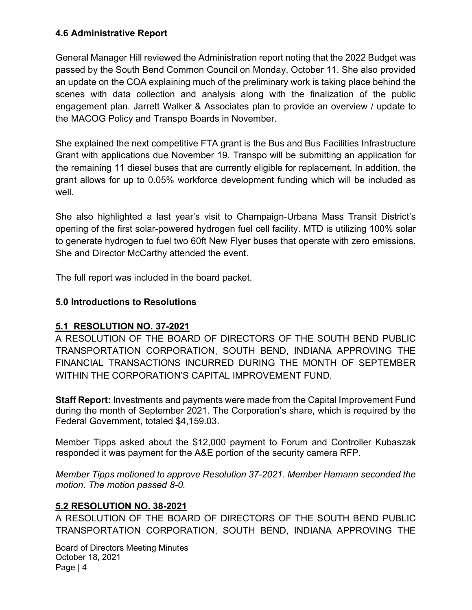## 4.6 Administrative Report

General Manager Hill reviewed the Administration report noting that the 2022 Budget was passed by the South Bend Common Council on Monday, October 11. She also provided an update on the COA explaining much of the preliminary work is taking place behind the scenes with data collection and analysis along with the finalization of the public engagement plan. Jarrett Walker & Associates plan to provide an overview / update to the MACOG Policy and Transpo Boards in November.

She explained the next competitive FTA grant is the Bus and Bus Facilities Infrastructure Grant with applications due November 19. Transpo will be submitting an application for the remaining 11 diesel buses that are currently eligible for replacement. In addition, the grant allows for up to 0.05% workforce development funding which will be included as well.

She also highlighted a last year's visit to Champaign-Urbana Mass Transit District's opening of the first solar-powered hydrogen fuel cell facility. MTD is utilizing 100% solar to generate hydrogen to fuel two 60ft New Flyer buses that operate with zero emissions. She and Director McCarthy attended the event.

The full report was included in the board packet.

## 5.0 Introductions to Resolutions

### 5.1 RESOLUTION NO. 37-2021

A RESOLUTION OF THE BOARD OF DIRECTORS OF THE SOUTH BEND PUBLIC TRANSPORTATION CORPORATION, SOUTH BEND, INDIANA APPROVING THE FINANCIAL TRANSACTIONS INCURRED DURING THE MONTH OF SEPTEMBER WITHIN THE CORPORATION'S CAPITAL IMPROVEMENT FUND.

Staff Report: Investments and payments were made from the Capital Improvement Fund during the month of September 2021. The Corporation's share, which is required by the Federal Government, totaled \$4,159.03.

Member Tipps asked about the \$12,000 payment to Forum and Controller Kubaszak responded it was payment for the A&E portion of the security camera RFP.

Member Tipps motioned to approve Resolution 37-2021. Member Hamann seconded the motion. The motion passed 8-0.

### 5.2 RESOLUTION NO. 38-2021

A RESOLUTION OF THE BOARD OF DIRECTORS OF THE SOUTH BEND PUBLIC TRANSPORTATION CORPORATION, SOUTH BEND, INDIANA APPROVING THE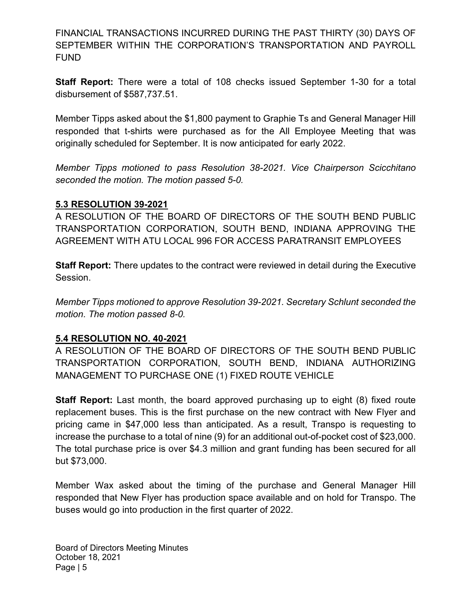FINANCIAL TRANSACTIONS INCURRED DURING THE PAST THIRTY (30) DAYS OF SEPTEMBER WITHIN THE CORPORATION'S TRANSPORTATION AND PAYROLL FUND

Staff Report: There were a total of 108 checks issued September 1-30 for a total disbursement of \$587,737.51.

Member Tipps asked about the \$1,800 payment to Graphie Ts and General Manager Hill responded that t-shirts were purchased as for the All Employee Meeting that was originally scheduled for September. It is now anticipated for early 2022.

Member Tipps motioned to pass Resolution 38-2021. Vice Chairperson Scicchitano seconded the motion. The motion passed 5-0.

#### 5.3 RESOLUTION 39-2021

A RESOLUTION OF THE BOARD OF DIRECTORS OF THE SOUTH BEND PUBLIC TRANSPORTATION CORPORATION, SOUTH BEND, INDIANA APPROVING THE AGREEMENT WITH ATU LOCAL 996 FOR ACCESS PARATRANSIT EMPLOYEES

Staff Report: There updates to the contract were reviewed in detail during the Executive Session.

Member Tipps motioned to approve Resolution 39-2021. Secretary Schlunt seconded the motion. The motion passed 8-0.

### 5.4 RESOLUTION NO. 40-2021

A RESOLUTION OF THE BOARD OF DIRECTORS OF THE SOUTH BEND PUBLIC TRANSPORTATION CORPORATION, SOUTH BEND, INDIANA AUTHORIZING MANAGEMENT TO PURCHASE ONE (1) FIXED ROUTE VEHICLE

**Staff Report:** Last month, the board approved purchasing up to eight (8) fixed route replacement buses. This is the first purchase on the new contract with New Flyer and pricing came in \$47,000 less than anticipated. As a result, Transpo is requesting to increase the purchase to a total of nine (9) for an additional out-of-pocket cost of \$23,000. The total purchase price is over \$4.3 million and grant funding has been secured for all but \$73,000.

Member Wax asked about the timing of the purchase and General Manager Hill responded that New Flyer has production space available and on hold for Transpo. The buses would go into production in the first quarter of 2022.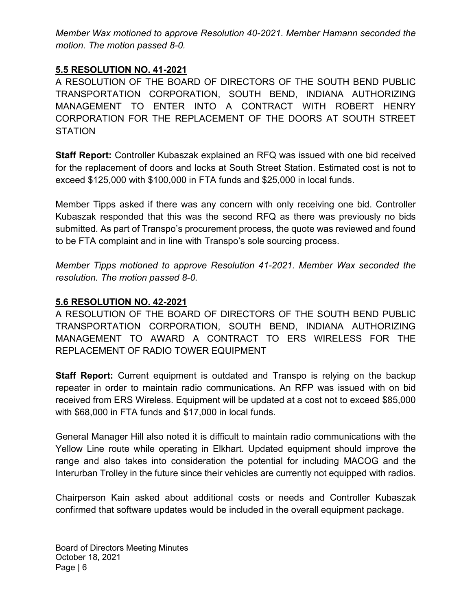Member Wax motioned to approve Resolution 40-2021. Member Hamann seconded the motion. The motion passed 8-0.

### 5.5 RESOLUTION NO. 41-2021

A RESOLUTION OF THE BOARD OF DIRECTORS OF THE SOUTH BEND PUBLIC TRANSPORTATION CORPORATION, SOUTH BEND, INDIANA AUTHORIZING MANAGEMENT TO ENTER INTO A CONTRACT WITH ROBERT HENRY CORPORATION FOR THE REPLACEMENT OF THE DOORS AT SOUTH STREET **STATION** 

Staff Report: Controller Kubaszak explained an RFQ was issued with one bid received for the replacement of doors and locks at South Street Station. Estimated cost is not to exceed \$125,000 with \$100,000 in FTA funds and \$25,000 in local funds.

Member Tipps asked if there was any concern with only receiving one bid. Controller Kubaszak responded that this was the second RFQ as there was previously no bids submitted. As part of Transpo's procurement process, the quote was reviewed and found to be FTA complaint and in line with Transpo's sole sourcing process.

Member Tipps motioned to approve Resolution 41-2021. Member Wax seconded the resolution. The motion passed 8-0.

# 5.6 RESOLUTION NO. 42-2021

A RESOLUTION OF THE BOARD OF DIRECTORS OF THE SOUTH BEND PUBLIC TRANSPORTATION CORPORATION, SOUTH BEND, INDIANA AUTHORIZING MANAGEMENT TO AWARD A CONTRACT TO ERS WIRELESS FOR THE REPLACEMENT OF RADIO TOWER EQUIPMENT

**Staff Report:** Current equipment is outdated and Transpo is relying on the backup repeater in order to maintain radio communications. An RFP was issued with on bid received from ERS Wireless. Equipment will be updated at a cost not to exceed \$85,000 with \$68,000 in FTA funds and \$17,000 in local funds.

General Manager Hill also noted it is difficult to maintain radio communications with the Yellow Line route while operating in Elkhart. Updated equipment should improve the range and also takes into consideration the potential for including MACOG and the Interurban Trolley in the future since their vehicles are currently not equipped with radios.

Chairperson Kain asked about additional costs or needs and Controller Kubaszak confirmed that software updates would be included in the overall equipment package.